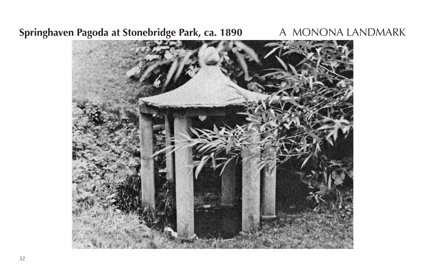